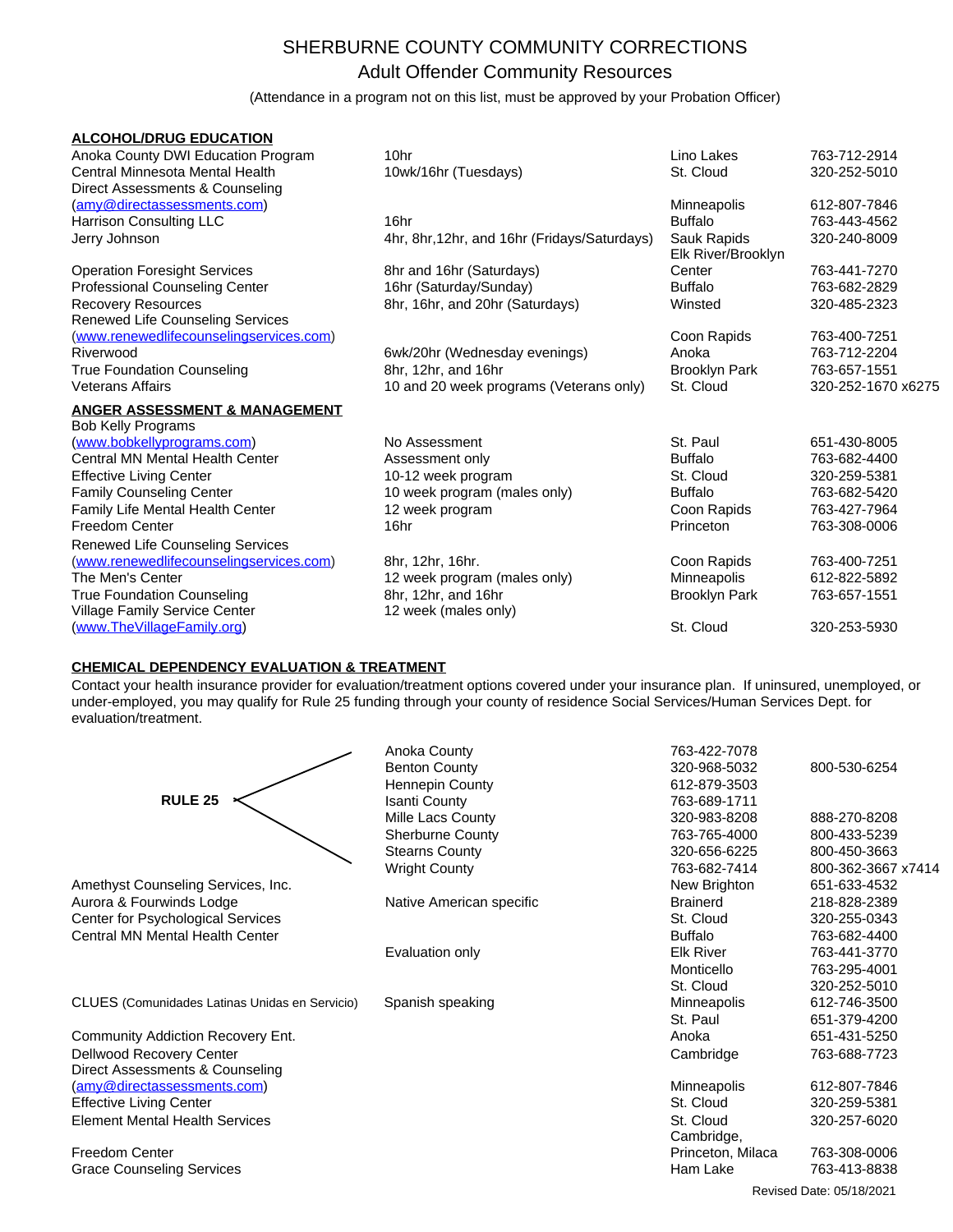## SHERBURNE COUNTY COMMUNITY CORRECTIONS Adult Offender Community Resources

(Attendance in a program not on this list, must be approved by your Probation Officer)

| <b>ALCOHOL/DRUG EDUCATION</b>                                         |                                              |                                   |                    |
|-----------------------------------------------------------------------|----------------------------------------------|-----------------------------------|--------------------|
| Anoka County DWI Education Program                                    | 10hr                                         | Lino Lakes                        | 763-712-2914       |
| Central Minnesota Mental Health                                       | 10wk/16hr (Tuesdays)                         | St. Cloud                         | 320-252-5010       |
| Direct Assessments & Counseling                                       |                                              |                                   |                    |
| (amy@directassessments.com)                                           |                                              | Minneapolis                       | 612-807-7846       |
| Harrison Consulting LLC                                               | 16hr                                         | <b>Buffalo</b>                    | 763-443-4562       |
| Jerry Johnson                                                         | 4hr, 8hr, 12hr, and 16hr (Fridays/Saturdays) | Sauk Rapids<br>Elk River/Brooklyn | 320-240-8009       |
| <b>Operation Foresight Services</b>                                   | 8hr and 16hr (Saturdays)                     | Center                            | 763-441-7270       |
| Professional Counseling Center                                        | 16hr (Saturday/Sunday)                       | <b>Buffalo</b>                    | 763-682-2829       |
| <b>Recovery Resources</b><br>Renewed Life Counseling Services         | 8hr, 16hr, and 20hr (Saturdays)              | Winsted                           | 320-485-2323       |
| (www.renewedlifecounselingservices.com)                               |                                              | Coon Rapids                       | 763-400-7251       |
| Riverwood                                                             | 6wk/20hr (Wednesday evenings)                | Anoka                             | 763-712-2204       |
| <b>True Foundation Counseling</b>                                     | 8hr, 12hr, and 16hr                          | <b>Brooklyn Park</b>              | 763-657-1551       |
| <b>Veterans Affairs</b>                                               | 10 and 20 week programs (Veterans only)      | St. Cloud                         | 320-252-1670 x6275 |
| <b>ANGER ASSESSMENT &amp; MANAGEMENT</b><br><b>Bob Kelly Programs</b> |                                              |                                   |                    |
| (www.bobkellyprograms.com)                                            | No Assessment                                | St. Paul                          | 651-430-8005       |
| <b>Central MN Mental Health Center</b>                                | Assessment only                              | <b>Buffalo</b>                    | 763-682-4400       |
| <b>Effective Living Center</b>                                        | 10-12 week program                           | St. Cloud                         | 320-259-5381       |
| <b>Family Counseling Center</b>                                       | 10 week program (males only)                 | <b>Buffalo</b>                    | 763-682-5420       |
| Family Life Mental Health Center                                      | 12 week program                              | Coon Rapids                       | 763-427-7964       |
| <b>Freedom Center</b>                                                 | 16hr                                         | Princeton                         | 763-308-0006       |
| <b>Renewed Life Counseling Services</b>                               |                                              |                                   |                    |
| (www.renewedlifecounselingservices.com)                               | 8hr, 12hr, 16hr.                             | Coon Rapids                       | 763-400-7251       |
| The Men's Center                                                      | 12 week program (males only)                 | Minneapolis                       | 612-822-5892       |
| <b>True Foundation Counseling</b>                                     | 8hr, 12hr, and 16hr                          | <b>Brooklyn Park</b>              | 763-657-1551       |
| Village Family Service Center                                         | 12 week (males only)                         |                                   |                    |
| (www.TheVillageFamily.org)                                            |                                              | St. Cloud                         | 320-253-5930       |

## **CHEMICAL DEPENDENCY EVALUATION & TREATMENT**

Contact your health insurance provider for evaluation/treatment options covered under your insurance plan. If uninsured, unemployed, or under-employed, you may qualify for Rule 25 funding through your county of residence Social Services/Human Services Dept. for evaluation/treatment.

|                                                | Anoka County             | 763-422-7078       |                          |
|------------------------------------------------|--------------------------|--------------------|--------------------------|
|                                                | <b>Benton County</b>     | 320-968-5032       | 800-530-6254             |
|                                                | <b>Hennepin County</b>   | 612-879-3503       |                          |
| <b>RULE 25</b>                                 | <b>Isanti County</b>     | 763-689-1711       |                          |
|                                                | Mille Lacs County        | 320-983-8208       | 888-270-8208             |
|                                                | <b>Sherburne County</b>  | 763-765-4000       | 800-433-5239             |
|                                                | <b>Stearns County</b>    | 320-656-6225       | 800-450-3663             |
|                                                | <b>Wright County</b>     | 763-682-7414       | 800-362-3667 x7414       |
| Amethyst Counseling Services, Inc.             |                          | New Brighton       | 651-633-4532             |
| Aurora & Fourwinds Lodge                       | Native American specific | <b>Brainerd</b>    | 218-828-2389             |
| Center for Psychological Services              |                          | St. Cloud          | 320-255-0343             |
| Central MN Mental Health Center                |                          | <b>Buffalo</b>     | 763-682-4400             |
|                                                | Evaluation only          | <b>Elk River</b>   | 763-441-3770             |
|                                                |                          | Monticello         | 763-295-4001             |
|                                                |                          | St. Cloud          | 320-252-5010             |
| CLUES (Comunidades Latinas Unidas en Servicio) | Spanish speaking         | <b>Minneapolis</b> | 612-746-3500             |
|                                                |                          | St. Paul           | 651-379-4200             |
| Community Addiction Recovery Ent.              |                          | Anoka              | 651-431-5250             |
| Dellwood Recovery Center                       |                          | Cambridge          | 763-688-7723             |
| Direct Assessments & Counseling                |                          |                    |                          |
| (amy@directassessments.com)                    |                          | Minneapolis        | 612-807-7846             |
| <b>Effective Living Center</b>                 |                          | St. Cloud          | 320-259-5381             |
| <b>Element Mental Health Services</b>          |                          | St. Cloud          | 320-257-6020             |
|                                                |                          | Cambridge,         |                          |
| <b>Freedom Center</b>                          |                          | Princeton, Milaca  | 763-308-0006             |
| <b>Grace Counseling Services</b>               |                          | Ham Lake           | 763-413-8838             |
|                                                |                          |                    | Revised Date: 05/18/2021 |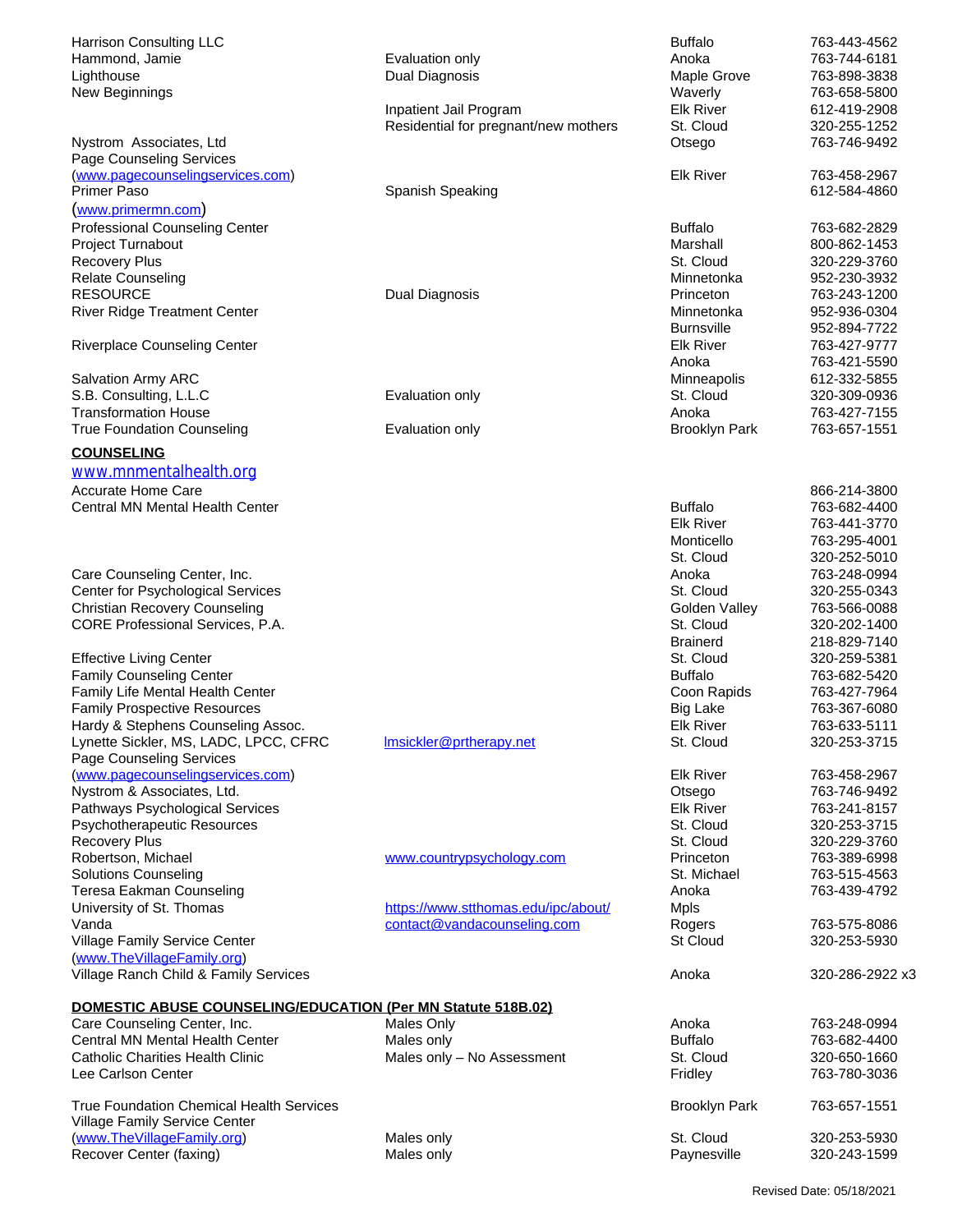| Harrison Consulting LLC                                       |                                      | <b>Buffalo</b>             | 763-443-4562                 |
|---------------------------------------------------------------|--------------------------------------|----------------------------|------------------------------|
| Hammond, Jamie                                                | Evaluation only                      | Anoka                      | 763-744-6181                 |
| Lighthouse                                                    | Dual Diagnosis                       | Maple Grove                | 763-898-3838                 |
| New Beginnings                                                |                                      | Waverly                    | 763-658-5800                 |
|                                                               | Inpatient Jail Program               | <b>Elk River</b>           | 612-419-2908                 |
|                                                               | Residential for pregnant/new mothers | St. Cloud                  | 320-255-1252                 |
| Nystrom Associates, Ltd                                       |                                      | Otsego                     | 763-746-9492                 |
| Page Counseling Services                                      |                                      |                            |                              |
| (www.pagecounselingservices.com)<br><b>Primer Paso</b>        |                                      | <b>Elk River</b>           | 763-458-2967                 |
|                                                               | Spanish Speaking                     |                            | 612-584-4860                 |
| (www.primermn.com)                                            |                                      |                            |                              |
| <b>Professional Counseling Center</b>                         |                                      | <b>Buffalo</b>             | 763-682-2829                 |
| Project Turnabout                                             |                                      | Marshall                   | 800-862-1453                 |
| <b>Recovery Plus</b><br><b>Relate Counseling</b>              |                                      | St. Cloud<br>Minnetonka    | 320-229-3760<br>952-230-3932 |
| <b>RESOURCE</b>                                               | Dual Diagnosis                       | Princeton                  | 763-243-1200                 |
| <b>River Ridge Treatment Center</b>                           |                                      | Minnetonka                 | 952-936-0304                 |
|                                                               |                                      | <b>Burnsville</b>          | 952-894-7722                 |
| <b>Riverplace Counseling Center</b>                           |                                      | <b>Elk River</b>           | 763-427-9777                 |
|                                                               |                                      | Anoka                      | 763-421-5590                 |
| Salvation Army ARC                                            |                                      | Minneapolis                | 612-332-5855                 |
| S.B. Consulting, L.L.C                                        | Evaluation only                      | St. Cloud                  | 320-309-0936                 |
| <b>Transformation House</b>                                   |                                      | Anoka                      | 763-427-7155                 |
| <b>True Foundation Counseling</b>                             | Evaluation only                      | <b>Brooklyn Park</b>       | 763-657-1551                 |
| <b>COUNSELING</b>                                             |                                      |                            |                              |
| www.mnmentalhealth.org                                        |                                      |                            |                              |
|                                                               |                                      |                            |                              |
| Accurate Home Care<br><b>Central MN Mental Health Center</b>  |                                      | <b>Buffalo</b>             | 866-214-3800<br>763-682-4400 |
|                                                               |                                      | <b>Elk River</b>           | 763-441-3770                 |
|                                                               |                                      | Monticello                 | 763-295-4001                 |
|                                                               |                                      | St. Cloud                  | 320-252-5010                 |
| Care Counseling Center, Inc.                                  |                                      | Anoka                      | 763-248-0994                 |
| Center for Psychological Services                             |                                      | St. Cloud                  | 320-255-0343                 |
| <b>Christian Recovery Counseling</b>                          |                                      | Golden Valley              | 763-566-0088                 |
| CORE Professional Services, P.A.                              |                                      | St. Cloud                  | 320-202-1400                 |
|                                                               |                                      | <b>Brainerd</b>            | 218-829-7140                 |
| <b>Effective Living Center</b>                                |                                      | St. Cloud                  | 320-259-5381                 |
| <b>Family Counseling Center</b>                               |                                      | <b>Buffalo</b>             | 763-682-5420                 |
| Family Life Mental Health Center                              |                                      | Coon Rapids                | 763-427-7964                 |
| <b>Family Prospective Resources</b>                           |                                      | Big Lake                   | 763-367-6080                 |
| Hardy & Stephens Counseling Assoc.                            |                                      | <b>Elk River</b>           | 763-633-5111                 |
| Lynette Sickler, MS, LADC, LPCC, CFRC                         | Imsickler@prtherapy.net              | St. Cloud                  | 320-253-3715                 |
| Page Counseling Services                                      |                                      |                            |                              |
| (www.pagecounselingservices.com)                              |                                      | <b>Elk River</b>           | 763-458-2967                 |
| Nystrom & Associates, Ltd.<br>Pathways Psychological Services |                                      | Otsego<br><b>Elk River</b> | 763-746-9492<br>763-241-8157 |
| <b>Psychotherapeutic Resources</b>                            |                                      | St. Cloud                  | 320-253-3715                 |
| <b>Recovery Plus</b>                                          |                                      | St. Cloud                  | 320-229-3760                 |
| Robertson, Michael                                            | www.countrypsychology.com            | Princeton                  | 763-389-6998                 |
| <b>Solutions Counseling</b>                                   |                                      | St. Michael                | 763-515-4563                 |
| Teresa Eakman Counseling                                      |                                      | Anoka                      | 763-439-4792                 |
| University of St. Thomas                                      | https://www.stthomas.edu/ipc/about/  | <b>Mpls</b>                |                              |
| Vanda                                                         | contact@vandacounseling.com          | Rogers                     | 763-575-8086                 |
| Village Family Service Center                                 |                                      | St Cloud                   | 320-253-5930                 |
| (www.TheVillageFamily.org)                                    |                                      |                            |                              |
| Village Ranch Child & Family Services                         |                                      | Anoka                      | 320-286-2922 x3              |
|                                                               |                                      |                            |                              |
| DOMESTIC ABUSE COUNSELING/EDUCATION (Per MN Statute 518B.02)  |                                      |                            |                              |
| Care Counseling Center, Inc.                                  | <b>Males Only</b>                    | Anoka                      | 763-248-0994                 |
| Central MN Mental Health Center                               | Males only                           | <b>Buffalo</b>             | 763-682-4400                 |
| <b>Catholic Charities Health Clinic</b><br>Lee Carlson Center | Males only - No Assessment           | St. Cloud<br>Fridley       | 320-650-1660<br>763-780-3036 |
|                                                               |                                      |                            |                              |
| <b>True Foundation Chemical Health Services</b>               |                                      | <b>Brooklyn Park</b>       | 763-657-1551                 |
| Village Family Service Center                                 |                                      |                            |                              |
| (www.TheVillageFamily.org)                                    | Males only                           | St. Cloud                  | 320-253-5930                 |
| Recover Center (faxing)                                       | Males only                           | Paynesville                | 320-243-1599                 |